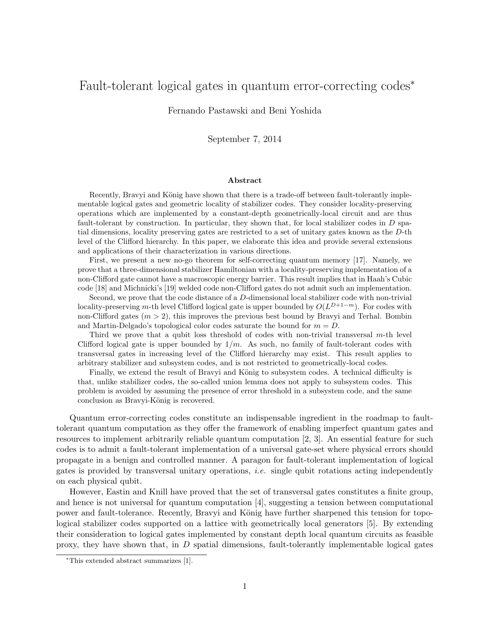# Fault-tolerant logical gates in quantum error-correcting codes<sup>\*</sup>

Fernando Pastawski and Beni Yoshida

September 7, 2014

#### Abstract

Recently, Bravyi and König have shown that there is a trade-off between fault-tolerantly implementable logical gates and geometric locality of stabilizer codes. They consider locality-preserving operations which are implemented by a constant-depth geometrically-local circuit and are thus fault-tolerant by construction. In particular, they shown that, for local stabilizer codes in  $D$  spatial dimensions, locality preserving gates are restricted to a set of unitary gates known as the D-th level of the Clifford hierarchy. In this paper, we elaborate this idea and provide several extensions and applications of their characterization in various directions.

First, we present a new no-go theorem for self-correcting quantum memory [17]. Namely, we prove that a three-dimensional stabilizer Hamiltonian with a locality-preserving implementation of a non-Clifford gate cannot have a macroscopic energy barrier. This result implies that in Haah's Cubic code [18] and Michnicki's [19] welded code non-Clifford gates do not admit such an implementation.

Second, we prove that the code distance of a D-dimensional local stabilizer code with non-trivial locality-preserving m-th level Clifford logical gate is upper bounded by  $O(L^{D+1-m})$ . For codes with non-Clifford gates  $(m > 2)$ , this improves the previous best bound by Bravyi and Terhal. Bombin and Martin-Delgado's topological color codes saturate the bound for  $m = D$ .

Third we prove that a qubit loss threshold of codes with non-trivial transversal m-th level Clifford logical gate is upper bounded by  $1/m$ . As such, no family of fault-tolerant codes with transversal gates in increasing level of the Clifford hierarchy may exist. This result applies to arbitrary stabilizer and subsystem codes, and is not restricted to geometrically-local codes.

Finally, we extend the result of Bravyi and König to subsystem codes. A technical difficulty is that, unlike stabilizer codes, the so-called union lemma does not apply to subsystem codes. This problem is avoided by assuming the presence of error threshold in a subsystem code, and the same conclusion as Bravyi-König is recovered.

Quantum error-correcting codes constitute an indispensable ingredient in the roadmap to faulttolerant quantum computation as they offer the framework of enabling imperfect quantum gates and resources to implement arbitrarily reliable quantum computation [2, 3]. An essential feature for such codes is to admit a fault-tolerant implementation of a universal gate-set where physical errors should propagate in a benign and controlled manner. A paragon for fault-tolerant implementation of logical gates is provided by transversal unitary operations, i.e. single qubit rotations acting independently on each physical qubit.

However, Eastin and Knill have proved that the set of transversal gates constitutes a finite group, and hence is not universal for quantum computation [4], suggesting a tension between computational power and fault-tolerance. Recently, Bravyi and König have further sharpened this tension for topological stabilizer codes supported on a lattice with geometrically local generators [5]. By extending their consideration to logical gates implemented by constant depth local quantum circuits as feasible proxy, they have shown that, in  $D$  spatial dimensions, fault-tolerantly implementable logical gates

<sup>∗</sup>This extended abstract summarizes [1].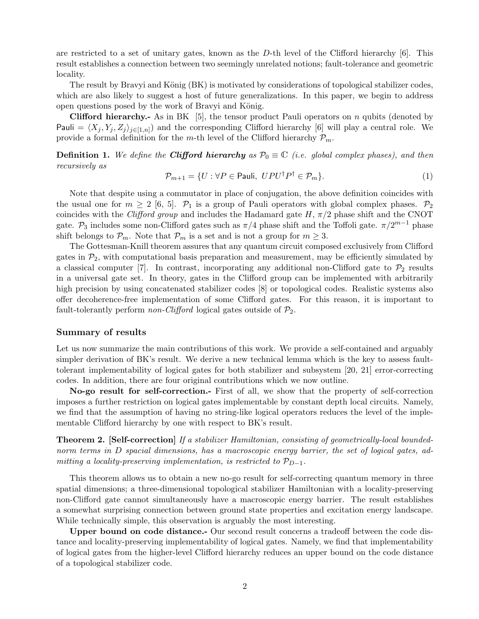are restricted to a set of unitary gates, known as the  $D$ -th level of the Clifford hierarchy [6]. This result establishes a connection between two seemingly unrelated notions; fault-tolerance and geometric locality.

The result by Bravyi and König (BK) is motivated by considerations of topological stabilizer codes, which are also likely to suggest a host of future generalizations. In this paper, we begin to address open questions posed by the work of Bravyi and König.

**Clifford hierarchy.**- As in BK [5], the tensor product Pauli operators on n qubits (denoted by Pauli =  $\langle X_j, Y_j, Z_j \rangle_{j \in [1,n]}$  and the corresponding Clifford hierarchy [6] will play a central role. We provide a formal definition for the m-th level of the Clifford hierarchy  $\mathcal{P}_m$ .

**Definition 1.** We define the **Clifford hierarchy** as  $\mathcal{P}_0 \equiv \mathbb{C}$  (i.e. global complex phases), and then recursively as

$$
\mathcal{P}_{m+1} = \{ U : \forall P \in \text{Pauli}, \ UPU^{\dagger}P^{\dagger} \in \mathcal{P}_m \}. \tag{1}
$$

Note that despite using a commutator in place of conjugation, the above definition coincides with the usual one for  $m \geq 2$  [6, 5].  $\mathcal{P}_1$  is a group of Pauli operators with global complex phases.  $\mathcal{P}_2$ coincides with the *Clifford group* and includes the Hadamard gate  $H$ ,  $\pi/2$  phase shift and the CNOT gate.  $\mathcal{P}_3$  includes some non-Clifford gates such as  $\pi/4$  phase shift and the Toffoli gate.  $\pi/2^{m-1}$  phase shift belongs to  $\mathcal{P}_m$ . Note that  $\mathcal{P}_m$  is a set and is not a group for  $m \geq 3$ .

The Gottesman-Knill theorem assures that any quantum circuit composed exclusively from Clifford gates in  $\mathcal{P}_2$ , with computational basis preparation and measurement, may be efficiently simulated by a classical computer [7]. In contrast, incorporating any additional non-Clifford gate to  $\mathcal{P}_2$  results in a universal gate set. In theory, gates in the Clifford group can be implemented with arbitrarily high precision by using concatenated stabilizer codes [8] or topological codes. Realistic systems also offer decoherence-free implementation of some Clifford gates. For this reason, it is important to fault-tolerantly perform *non-Clifford* logical gates outside of  $\mathcal{P}_2$ .

### Summary of results

Let us now summarize the main contributions of this work. We provide a self-contained and arguably simpler derivation of BK's result. We derive a new technical lemma which is the key to assess faulttolerant implementability of logical gates for both stabilizer and subsystem [20, 21] error-correcting codes. In addition, there are four original contributions which we now outline.

No-go result for self-correction.- First of all, we show that the property of self-correction imposes a further restriction on logical gates implementable by constant depth local circuits. Namely, we find that the assumption of having no string-like logical operators reduces the level of the implementable Clifford hierarchy by one with respect to BK's result.

Theorem 2. [Self-correction] If a stabilizer Hamiltonian, consisting of geometrically-local boundednorm terms in D spacial dimensions, has a macroscopic energy barrier, the set of logical gates, admitting a locality-preserving implementation, is restricted to  $\mathcal{P}_{D-1}$ .

This theorem allows us to obtain a new no-go result for self-correcting quantum memory in three spatial dimensions; a three-dimensional topological stabilizer Hamiltonian with a locality-preserving non-Clifford gate cannot simultaneously have a macroscopic energy barrier. The result establishes a somewhat surprising connection between ground state properties and excitation energy landscape. While technically simple, this observation is arguably the most interesting.

Upper bound on code distance.- Our second result concerns a tradeoff between the code distance and locality-preserving implementability of logical gates. Namely, we find that implementability of logical gates from the higher-level Clifford hierarchy reduces an upper bound on the code distance of a topological stabilizer code.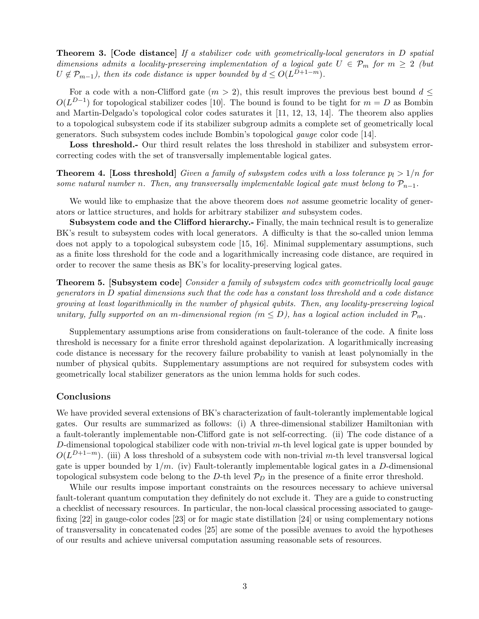Theorem 3. [Code distance] If a stabilizer code with geometrically-local generators in D spatial dimensions admits a locality-preserving implementation of a logical gate  $U \in \mathcal{P}_m$  for  $m \geq 2$  (but  $U \notin \mathcal{P}_{m-1}$ , then its code distance is upper bounded by  $d \leq O(L^{D+1-m})$ .

For a code with a non-Clifford gate  $(m > 2)$ , this result improves the previous best bound  $d \leq$  $O(L^{D-1})$  for topological stabilizer codes [10]. The bound is found to be tight for  $m = D$  as Bombin and Martin-Delgado's topological color codes saturates it [11, 12, 13, 14]. The theorem also applies to a topological subsystem code if its stabilizer subgroup admits a complete set of geometrically local generators. Such subsystem codes include Bombin's topological gauge color code [14].

Loss threshold.- Our third result relates the loss threshold in stabilizer and subsystem errorcorrecting codes with the set of transversally implementable logical gates.

**Theorem 4.** [Loss threshold] Given a family of subsystem codes with a loss tolerance  $p_l > 1/n$  for some natural number n. Then, any transversally implementable logical gate must belong to  $\mathcal{P}_{n-1}$ .

We would like to emphasize that the above theorem does not assume geometric locality of generators or lattice structures, and holds for arbitrary stabilizer and subsystem codes.

Subsystem code and the Clifford hierarchy.- Finally, the main technical result is to generalize BK's result to subsystem codes with local generators. A difficulty is that the so-called union lemma does not apply to a topological subsystem code [15, 16]. Minimal supplementary assumptions, such as a finite loss threshold for the code and a logarithmically increasing code distance, are required in order to recover the same thesis as BK's for locality-preserving logical gates.

Theorem 5. [Subsystem code] Consider a family of subsystem codes with geometrically local gauge generators in D spatial dimensions such that the code has a constant loss threshold and a code distance growing at least logarithmically in the number of physical qubits. Then, any locality-preserving logical unitary, fully supported on an m-dimensional region  $(m \leq D)$ , has a logical action included in  $\mathcal{P}_m$ .

Supplementary assumptions arise from considerations on fault-tolerance of the code. A finite loss threshold is necessary for a finite error threshold against depolarization. A logarithmically increasing code distance is necessary for the recovery failure probability to vanish at least polynomially in the number of physical qubits. Supplementary assumptions are not required for subsystem codes with geometrically local stabilizer generators as the union lemma holds for such codes.

#### **Conclusions**

We have provided several extensions of BK's characterization of fault-tolerantly implementable logical gates. Our results are summarized as follows: (i) A three-dimensional stabilizer Hamiltonian with a fault-tolerantly implementable non-Clifford gate is not self-correcting. (ii) The code distance of a D-dimensional topological stabilizer code with non-trivial m-th level logical gate is upper bounded by  $O(L^{D+1-m})$ . (iii) A loss threshold of a subsystem code with non-trivial m-th level transversal logical gate is upper bounded by  $1/m$ . (iv) Fault-tolerantly implementable logical gates in a D-dimensional topological subsystem code belong to the  $D$ -th level  $\mathcal{P}_D$  in the presence of a finite error threshold.

While our results impose important constraints on the resources necessary to achieve universal fault-tolerant quantum computation they definitely do not exclude it. They are a guide to constructing a checklist of necessary resources. In particular, the non-local classical processing associated to gaugefixing [22] in gauge-color codes [23] or for magic state distillation [24] or using complementary notions of transversality in concatenated codes [25] are some of the possible avenues to avoid the hypotheses of our results and achieve universal computation assuming reasonable sets of resources.